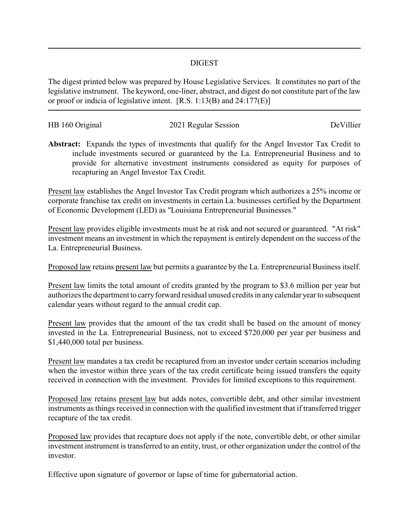## DIGEST

The digest printed below was prepared by House Legislative Services. It constitutes no part of the legislative instrument. The keyword, one-liner, abstract, and digest do not constitute part of the law or proof or indicia of legislative intent. [R.S. 1:13(B) and 24:177(E)]

| HB 160 Original | 2021 Regular Session | DeVillier |
|-----------------|----------------------|-----------|
|                 |                      |           |

**Abstract:** Expands the types of investments that qualify for the Angel Investor Tax Credit to include investments secured or guaranteed by the La. Entrepreneurial Business and to provide for alternative investment instruments considered as equity for purposes of recapturing an Angel Investor Tax Credit.

Present law establishes the Angel Investor Tax Credit program which authorizes a 25% income or corporate franchise tax credit on investments in certain La. businesses certified by the Department of Economic Development (LED) as "Louisiana Entrepreneurial Businesses."

Present law provides eligible investments must be at risk and not secured or guaranteed. "At risk" investment means an investment in which the repayment is entirely dependent on the success of the La. Entrepreneurial Business.

Proposed law retains present law but permits a guarantee by the La. Entrepreneurial Business itself.

Present law limits the total amount of credits granted by the program to \$3.6 million per year but authorizes the department to carry forward residual unused credits in any calendar year to subsequent calendar years without regard to the annual credit cap.

Present law provides that the amount of the tax credit shall be based on the amount of money invested in the La. Entrepreneurial Business, not to exceed \$720,000 per year per business and \$1,440,000 total per business.

Present law mandates a tax credit be recaptured from an investor under certain scenarios including when the investor within three years of the tax credit certificate being issued transfers the equity received in connection with the investment. Provides for limited exceptions to this requirement.

Proposed law retains present law but adds notes, convertible debt, and other similar investment instruments as things received in connection with the qualified investment that if transferred trigger recapture of the tax credit.

Proposed law provides that recapture does not apply if the note, convertible debt, or other similar investment instrument is transferred to an entity, trust, or other organization under the control of the investor.

Effective upon signature of governor or lapse of time for gubernatorial action.